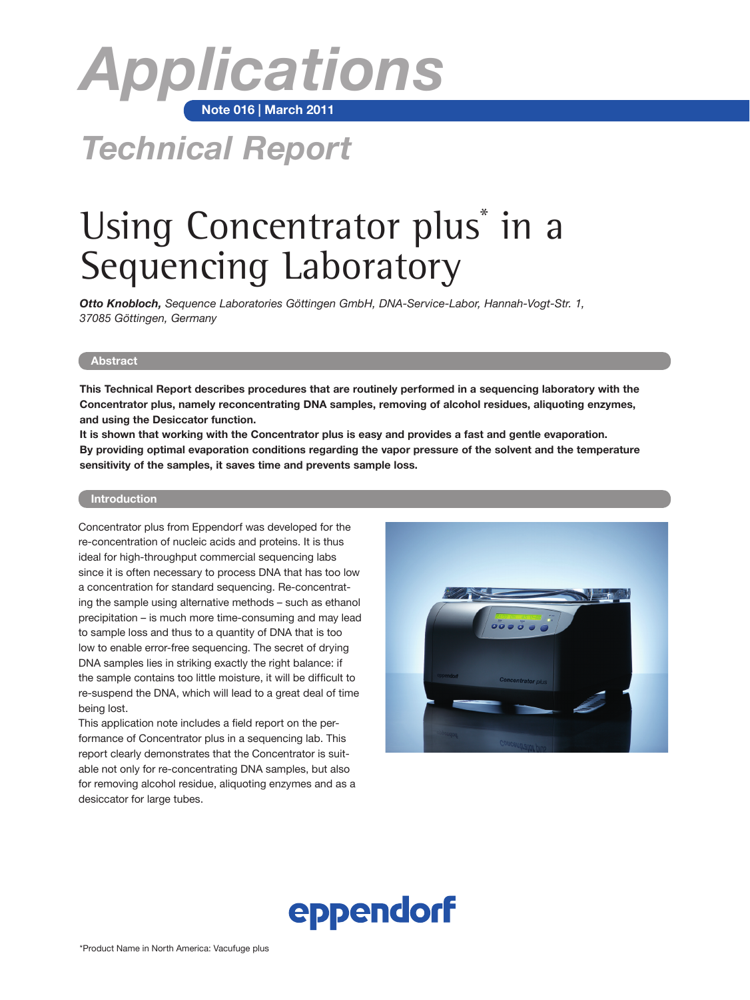

# *Technical Report*

# Using Concentrator plus<sup>\*</sup> in a Sequencing Laboratory

*Otto Knobloch, Sequence Laboratories Göttingen GmbH, DNA-Service-Labor, Hannah-Vogt-Str. 1, 37085 Göttingen, Germany*

#### **Abstract**

**This Technical Report describes procedures that are routinely performed in a sequencing laboratory with the Concentrator plus, namely reconcentrating DNA samples, removing of alcohol residues, aliquoting enzymes, and using the Desiccator function.** 

**It is shown that working with the Concentrator plus is easy and provides a fast and gentle evaporation. By providing optimal evaporation conditions regarding the vapor pressure of the solvent and the temperature sensitivity of the samples, it saves time and prevents sample loss.**

### **Introduction**

Concentrator plus from Eppendorf was developed for the re-concentration of nucleic acids and proteins. It is thus ideal for high-throughput commercial sequencing labs since it is often necessary to process DNA that has too low a concentration for standard sequencing. Re-concentrating the sample using alternative methods – such as ethanol precipitation – is much more time-consuming and may lead to sample loss and thus to a quantity of DNA that is too low to enable error-free sequencing. The secret of drying DNA samples lies in striking exactly the right balance: if the sample contains too little moisture, it will be difficult to re-suspend the DNA, which will lead to a great deal of time being lost.

This application note includes a field report on the performance of Concentrator plus in a sequencing lab. This report clearly demonstrates that the Concentrator is suitable not only for re-concentrating DNA samples, but also for removing alcohol residue, aliquoting enzymes and as a desiccator for large tubes.



# eppendorf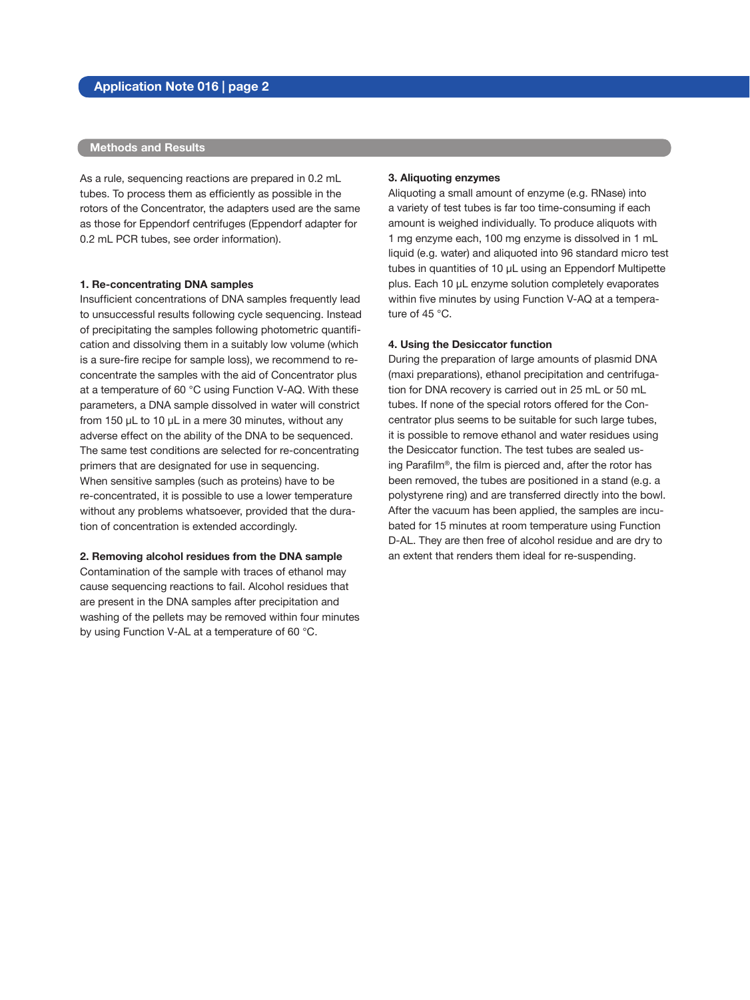## **Methods and Results**

As a rule, sequencing reactions are prepared in 0.2 mL tubes. To process them as efficiently as possible in the rotors of the Concentrator, the adapters used are the same as those for Eppendorf centrifuges (Eppendorf adapter for 0.2 mL PCR tubes, see order information).

#### **1. Re-concentrating DNA samples**

Insufficient concentrations of DNA samples frequently lead to unsuccessful results following cycle sequencing. Instead of precipitating the samples following photometric quantification and dissolving them in a suitably low volume (which is a sure-fire recipe for sample loss), we recommend to reconcentrate the samples with the aid of Concentrator plus at a temperature of 60 °C using Function V-AQ. With these parameters, a DNA sample dissolved in water will constrict from 150 μL to 10 μL in a mere 30 minutes, without any adverse effect on the ability of the DNA to be sequenced. The same test conditions are selected for re-concentrating primers that are designated for use in sequencing. When sensitive samples (such as proteins) have to be re-concentrated, it is possible to use a lower temperature without any problems whatsoever, provided that the duration of concentration is extended accordingly.

#### **2. Removing alcohol residues from the DNA sample**

Contamination of the sample with traces of ethanol may cause sequencing reactions to fail. Alcohol residues that are present in the DNA samples after precipitation and washing of the pellets may be removed within four minutes by using Function V-AL at a temperature of 60 °C.

#### **3. Aliquoting enzymes**

Aliquoting a small amount of enzyme (e.g. RNase) into a variety of test tubes is far too time-consuming if each amount is weighed individually. To produce aliquots with 1 mg enzyme each, 100 mg enzyme is dissolved in 1 mL liquid (e.g. water) and aliquoted into 96 standard micro test tubes in quantities of 10 μL using an Eppendorf Multipette plus. Each 10 μL enzyme solution completely evaporates within five minutes by using Function V-AQ at a temperature of 45 °C.

#### **4. Using the Desiccator function**

During the preparation of large amounts of plasmid DNA (maxi preparations), ethanol precipitation and centrifugation for DNA recovery is carried out in 25 mL or 50 mL tubes. If none of the special rotors offered for the Concentrator plus seems to be suitable for such large tubes, it is possible to remove ethanol and water residues using the Desiccator function. The test tubes are sealed using Parafilm®, the film is pierced and, after the rotor has been removed, the tubes are positioned in a stand (e.g. a polystyrene ring) and are transferred directly into the bowl. After the vacuum has been applied, the samples are incubated for 15 minutes at room temperature using Function D-AL. They are then free of alcohol residue and are dry to an extent that renders them ideal for re-suspending.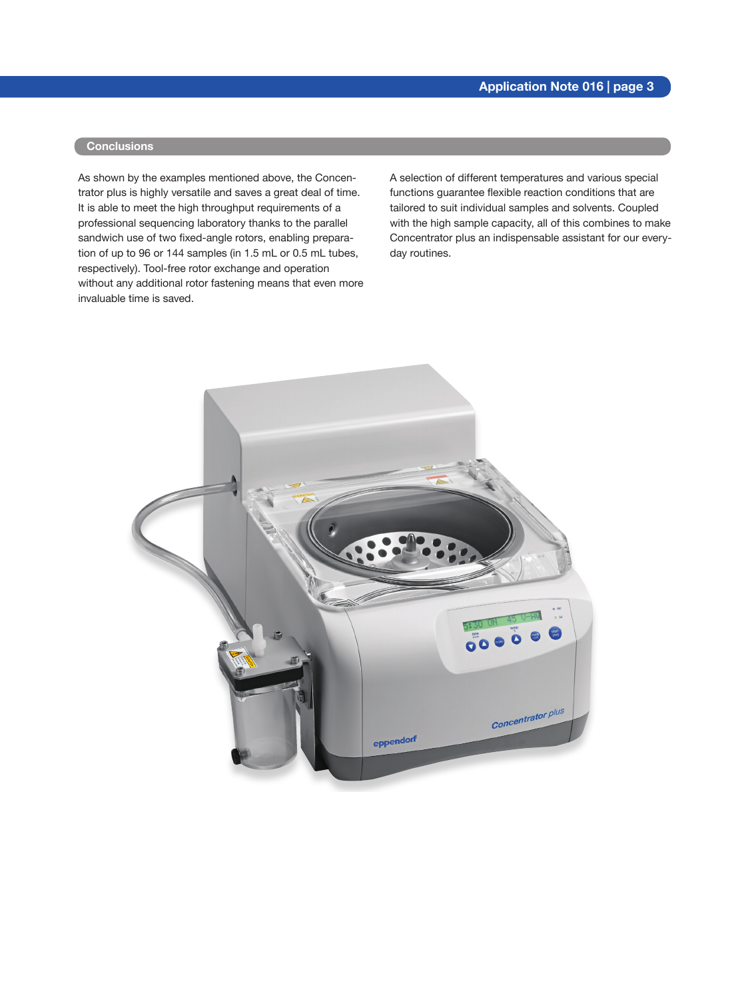### **Conclusions**

As shown by the examples mentioned above, the Concentrator plus is highly versatile and saves a great deal of time. It is able to meet the high throughput requirements of a professional sequencing laboratory thanks to the parallel sandwich use of two fixed-angle rotors, enabling preparation of up to 96 or 144 samples (in 1.5 mL or 0.5 mL tubes, respectively). Tool-free rotor exchange and operation without any additional rotor fastening means that even more invaluable time is saved.

A selection of different temperatures and various special functions guarantee flexible reaction conditions that are tailored to suit individual samples and solvents. Coupled with the high sample capacity, all of this combines to make Concentrator plus an indispensable assistant for our everyday routines.